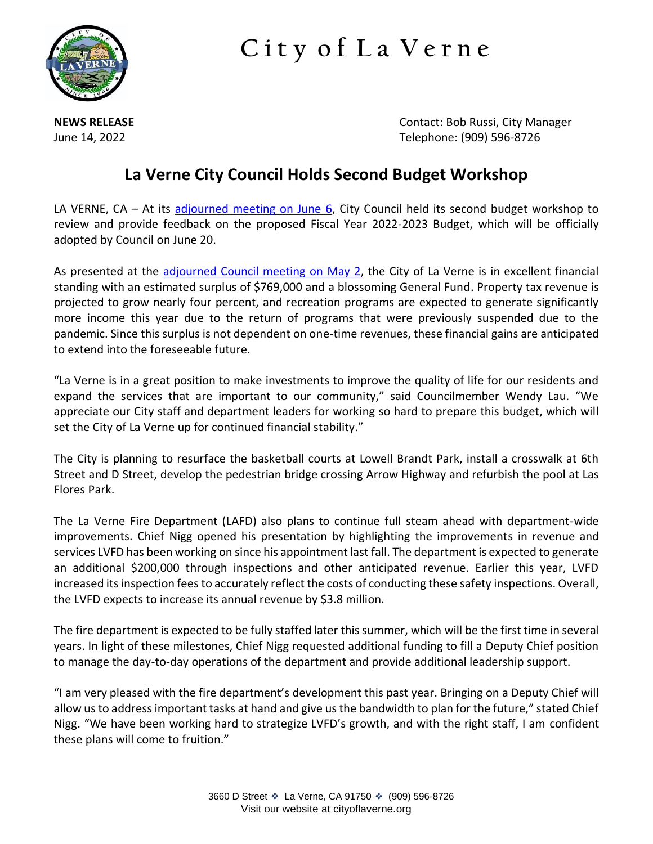

## **C i t y o f L a V e r n e**

**NEWS RELEASE NEWS RELEASE CONTACT: Bob Russi, City Manager** June 14, 2022 Telephone: (909) 596-8726

## **La Verne City Council Holds Second Budget Workshop**

LA VERNE,  $CA - At$  its [adjourned meeting on June 6,](https://laverneca.new.swagit.com/videos/175020) City Council held its second budget workshop to review and provide feedback on the proposed Fiscal Year 2022-2023 Budget, which will be officially adopted by Council on June 20.

As presented at the [adjourned Council meeting on May 2,](https://laverneca.new.swagit.com/videos/170989) the City of La Verne is in excellent financial standing with an estimated surplus of \$769,000 and a blossoming General Fund. Property tax revenue is projected to grow nearly four percent, and recreation programs are expected to generate significantly more income this year due to the return of programs that were previously suspended due to the pandemic. Since this surplus is not dependent on one-time revenues, these financial gains are anticipated to extend into the foreseeable future.

"La Verne is in a great position to make investments to improve the quality of life for our residents and expand the services that are important to our community," said Councilmember Wendy Lau. "We appreciate our City staff and department leaders for working so hard to prepare this budget, which will set the City of La Verne up for continued financial stability."

The City is planning to resurface the basketball courts at Lowell Brandt Park, install a crosswalk at 6th Street and D Street, develop the pedestrian bridge crossing Arrow Highway and refurbish the pool at Las Flores Park.

The La Verne Fire Department (LAFD) also plans to continue full steam ahead with department-wide improvements. Chief Nigg opened his presentation by highlighting the improvements in revenue and services LVFD has been working on since his appointment last fall. The department is expected to generate an additional \$200,000 through inspections and other anticipated revenue. Earlier this year, LVFD increased its inspection fees to accurately reflect the costs of conducting these safety inspections. Overall, the LVFD expects to increase its annual revenue by \$3.8 million.

The fire department is expected to be fully staffed later this summer, which will be the first time in several years. In light of these milestones, Chief Nigg requested additional funding to fill a Deputy Chief position to manage the day-to-day operations of the department and provide additional leadership support.

"I am very pleased with the fire department's development this past year. Bringing on a Deputy Chief will allow us to address important tasks at hand and give us the bandwidth to plan for the future," stated Chief Nigg. "We have been working hard to strategize LVFD's growth, and with the right staff, I am confident these plans will come to fruition."